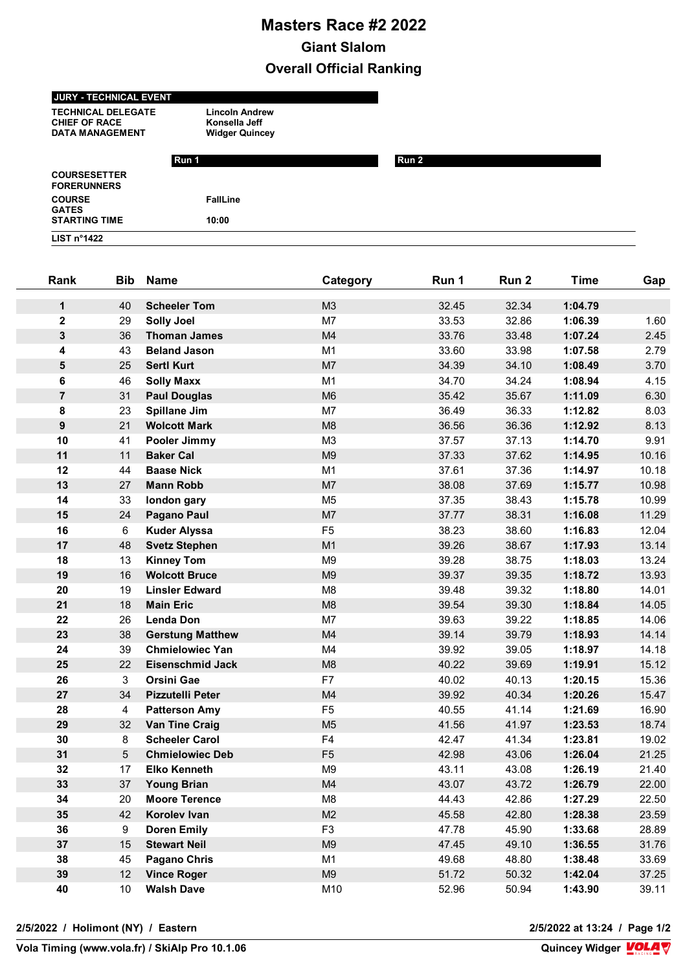## **Masters Race #2 2022 Giant Slalom Overall Official Ranking**

## **JURY - TECHNICAL EVENT**

**TECHNICAL DELEGATE Lincoln Andrew CHIEF OF RACE Konsella Jeff**<br> **DATA MANAGEMENT** Widger Quincey DATA MANAGEMENT

|                                           | Run 1           | Run 2 |  |
|-------------------------------------------|-----------------|-------|--|
| <b>COURSESETTER</b><br><b>FORERUNNERS</b> |                 |       |  |
| <b>COURSE</b><br><b>GATES</b>             | <b>FallLine</b> |       |  |
| <b>STARTING TIME</b>                      | 10:00           |       |  |
| LIST $n^{\circ}$ 1422                     |                 |       |  |

| Rank             | <b>Bib</b> | <b>Name</b>             | Category       | Run 1 | Run 2 | <b>Time</b> | Gap   |
|------------------|------------|-------------------------|----------------|-------|-------|-------------|-------|
| $\mathbf 1$      | 40         | <b>Scheeler Tom</b>     | M3             | 32.45 | 32.34 | 1:04.79     |       |
| $\mathbf{2}$     | 29         | <b>Solly Joel</b>       | M7             | 33.53 | 32.86 | 1:06.39     | 1.60  |
| 3                | 36         | <b>Thoman James</b>     | M4             | 33.76 | 33.48 | 1:07.24     | 2.45  |
| 4                | 43         | <b>Beland Jason</b>     | M <sub>1</sub> | 33.60 | 33.98 | 1:07.58     | 2.79  |
| 5                | 25         | <b>Sertl Kurt</b>       | M <sub>7</sub> | 34.39 | 34.10 | 1:08.49     | 3.70  |
| 6                | 46         | <b>Solly Maxx</b>       | M <sub>1</sub> | 34.70 | 34.24 | 1:08.94     | 4.15  |
| $\overline{7}$   | 31         | <b>Paul Douglas</b>     | M <sub>6</sub> | 35.42 | 35.67 | 1:11.09     | 6.30  |
| 8                | 23         | <b>Spillane Jim</b>     | M7             | 36.49 | 36.33 | 1:12.82     | 8.03  |
| $\boldsymbol{9}$ | 21         | <b>Wolcott Mark</b>     | M <sub>8</sub> | 36.56 | 36.36 | 1:12.92     | 8.13  |
| 10               | 41         | Pooler Jimmy            | M <sub>3</sub> | 37.57 | 37.13 | 1:14.70     | 9.91  |
| 11               | 11         | <b>Baker Cal</b>        | M <sub>9</sub> | 37.33 | 37.62 | 1:14.95     | 10.16 |
| 12               | 44         | <b>Baase Nick</b>       | M <sub>1</sub> | 37.61 | 37.36 | 1:14.97     | 10.18 |
| 13               | 27         | <b>Mann Robb</b>        | M <sub>7</sub> | 38.08 | 37.69 | 1:15.77     | 10.98 |
| 14               | 33         | london gary             | M <sub>5</sub> | 37.35 | 38.43 | 1:15.78     | 10.99 |
| 15               | 24         | <b>Pagano Paul</b>      | M <sub>7</sub> | 37.77 | 38.31 | 1:16.08     | 11.29 |
| 16               | 6          | <b>Kuder Alyssa</b>     | F <sub>5</sub> | 38.23 | 38.60 | 1:16.83     | 12.04 |
| 17               | 48         | <b>Svetz Stephen</b>    | M1             | 39.26 | 38.67 | 1:17.93     | 13.14 |
| 18               | 13         | <b>Kinney Tom</b>       | M <sub>9</sub> | 39.28 | 38.75 | 1:18.03     | 13.24 |
| 19               | 16         | <b>Wolcott Bruce</b>    | M <sub>9</sub> | 39.37 | 39.35 | 1:18.72     | 13.93 |
| 20               | 19         | <b>Linsler Edward</b>   | M <sub>8</sub> | 39.48 | 39.32 | 1:18.80     | 14.01 |
| 21               | 18         | <b>Main Eric</b>        | M8             | 39.54 | 39.30 | 1:18.84     | 14.05 |
| 22               | 26         | <b>Lenda Don</b>        | M7             | 39.63 | 39.22 | 1:18.85     | 14.06 |
| 23               | 38         | <b>Gerstung Matthew</b> | M4             | 39.14 | 39.79 | 1:18.93     | 14.14 |
| 24               | 39         | <b>Chmielowiec Yan</b>  | M4             | 39.92 | 39.05 | 1:18.97     | 14.18 |
| 25               | 22         | <b>Eisenschmid Jack</b> | M8             | 40.22 | 39.69 | 1:19.91     | 15.12 |
| 26               | 3          | <b>Orsini Gae</b>       | F7             | 40.02 | 40.13 | 1:20.15     | 15.36 |
| 27               | 34         | <b>Pizzutelli Peter</b> | M4             | 39.92 | 40.34 | 1:20.26     | 15.47 |
| 28               | 4          | <b>Patterson Amy</b>    | F <sub>5</sub> | 40.55 | 41.14 | 1:21.69     | 16.90 |
| 29               | 32         | Van Tine Craig          | M <sub>5</sub> | 41.56 | 41.97 | 1:23.53     | 18.74 |
| 30               | 8          | <b>Scheeler Carol</b>   | F4             | 42.47 | 41.34 | 1:23.81     | 19.02 |
| 31               | 5          | <b>Chmielowiec Deb</b>  | F <sub>5</sub> | 42.98 | 43.06 | 1:26.04     | 21.25 |
| 32               | 17         | <b>Elko Kenneth</b>     | M <sub>9</sub> | 43.11 | 43.08 | 1:26.19     | 21.40 |
| 33               | 37         | <b>Young Brian</b>      | M4             | 43.07 | 43.72 | 1:26.79     | 22.00 |
| 34               | 20         | <b>Moore Terence</b>    | M8             | 44.43 | 42.86 | 1:27.29     | 22.50 |
| 35               | 42         | Korolev Ivan            | M <sub>2</sub> | 45.58 | 42.80 | 1:28.38     | 23.59 |
| 36               | 9          | <b>Doren Emily</b>      | F <sub>3</sub> | 47.78 | 45.90 | 1:33.68     | 28.89 |
| 37               | 15         | <b>Stewart Neil</b>     | M <sub>9</sub> | 47.45 | 49.10 | 1:36.55     | 31.76 |
| 38               | 45         | <b>Pagano Chris</b>     | M1             | 49.68 | 48.80 | 1:38.48     | 33.69 |
| 39               | 12         | <b>Vince Roger</b>      | M9             | 51.72 | 50.32 | 1:42.04     | 37.25 |
| 40               | 10         | <b>Walsh Dave</b>       | M10            | 52.96 | 50.94 | 1:43.90     | 39.11 |